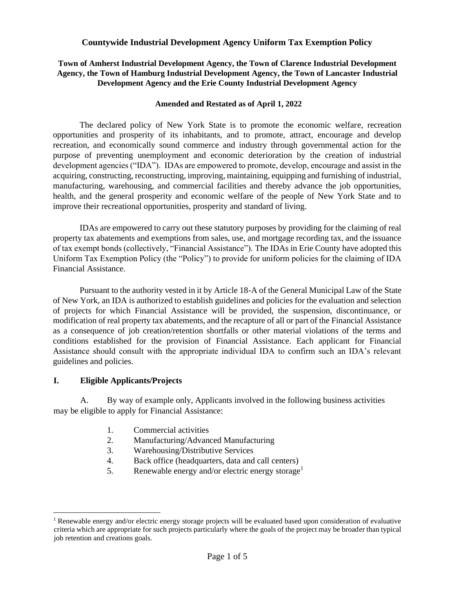#### **Countywide Industrial Development Agency Uniform Tax Exemption Policy**

#### **Town of Amherst Industrial Development Agency, the Town of Clarence Industrial Development Agency, the Town of Hamburg Industrial Development Agency, the Town of Lancaster Industrial Development Agency and the Erie County Industrial Development Agency**

#### **Amended and Restated as of April 1, 2022**

The declared policy of New York State is to promote the economic welfare, recreation opportunities and prosperity of its inhabitants, and to promote, attract, encourage and develop recreation, and economically sound commerce and industry through governmental action for the purpose of preventing unemployment and economic deterioration by the creation of industrial development agencies ("IDA"). IDAs are empowered to promote, develop, encourage and assist in the acquiring, constructing, reconstructing, improving, maintaining, equipping and furnishing of industrial, manufacturing, warehousing, and commercial facilities and thereby advance the job opportunities, health, and the general prosperity and economic welfare of the people of New York State and to improve their recreational opportunities, prosperity and standard of living.

IDAs are empowered to carry out these statutory purposes by providing for the claiming of real property tax abatements and exemptions from sales, use, and mortgage recording tax, and the issuance of tax exempt bonds (collectively, "Financial Assistance"). The IDAs in Erie County have adopted this Uniform Tax Exemption Policy (the "Policy") to provide for uniform policies for the claiming of IDA Financial Assistance.

Pursuant to the authority vested in it by Article 18-A of the General Municipal Law of the State of New York, an IDA is authorized to establish guidelines and policies for the evaluation and selection of projects for which Financial Assistance will be provided, the suspension, discontinuance, or modification of real property tax abatements, and the recapture of all or part of the Financial Assistance as a consequence of job creation/retention shortfalls or other material violations of the terms and conditions established for the provision of Financial Assistance. Each applicant for Financial Assistance should consult with the appropriate individual IDA to confirm such an IDA's relevant guidelines and policies.

### **I. Eligible Applicants/Projects**

A. By way of example only, Applicants involved in the following business activities may be eligible to apply for Financial Assistance:

- 1. Commercial activities
- 2. Manufacturing/Advanced Manufacturing
- 3. Warehousing/Distributive Services
- 4. Back office (headquarters, data and call centers)
- 5. Renewable energy and/or electric energy storage<sup>1</sup>

<sup>&</sup>lt;sup>1</sup> Renewable energy and/or electric energy storage projects will be evaluated based upon consideration of evaluative criteria which are appropriate for such projects particularly where the goals of the project may be broader than typical job retention and creations goals.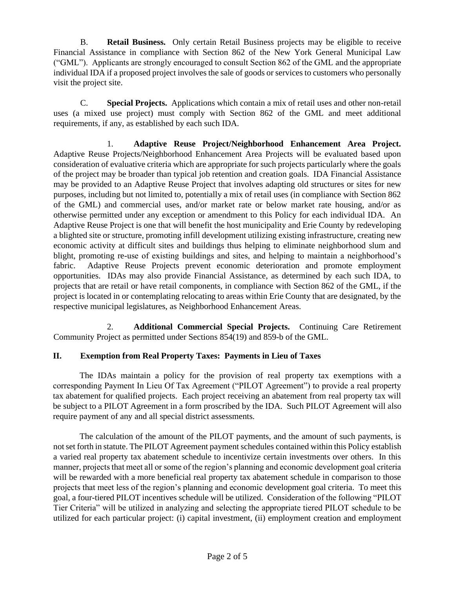B. **Retail Business.** Only certain Retail Business projects may be eligible to receive Financial Assistance in compliance with Section 862 of the New York General Municipal Law ("GML"). Applicants are strongly encouraged to consult Section 862 of the GML and the appropriate individual IDA if a proposed project involves the sale of goods or services to customers who personally visit the project site.

C. **Special Projects.** Applications which contain a mix of retail uses and other non-retail uses (a mixed use project) must comply with Section 862 of the GML and meet additional requirements, if any, as established by each such IDA.

1. **Adaptive Reuse Project/Neighborhood Enhancement Area Project.** Adaptive Reuse Projects/Neighborhood Enhancement Area Projects will be evaluated based upon consideration of evaluative criteria which are appropriate for such projects particularly where the goals of the project may be broader than typical job retention and creation goals. IDA Financial Assistance may be provided to an Adaptive Reuse Project that involves adapting old structures or sites for new purposes, including but not limited to, potentially a mix of retail uses (in compliance with Section 862 of the GML) and commercial uses, and/or market rate or below market rate housing, and/or as otherwise permitted under any exception or amendment to this Policy for each individual IDA. An Adaptive Reuse Project is one that will benefit the host municipality and Erie County by redeveloping a blighted site or structure, promoting infill development utilizing existing infrastructure, creating new economic activity at difficult sites and buildings thus helping to eliminate neighborhood slum and blight, promoting re-use of existing buildings and sites, and helping to maintain a neighborhood's fabric. Adaptive Reuse Projects prevent economic deterioration and promote employment opportunities. IDAs may also provide Financial Assistance, as determined by each such IDA, to projects that are retail or have retail components, in compliance with Section 862 of the GML, if the project is located in or contemplating relocating to areas within Erie County that are designated, by the respective municipal legislatures, as Neighborhood Enhancement Areas.

2. **Additional Commercial Special Projects.** Continuing Care Retirement Community Project as permitted under Sections 854(19) and 859-b of the GML.

### **II. Exemption from Real Property Taxes: Payments in Lieu of Taxes**

The IDAs maintain a policy for the provision of real property tax exemptions with a corresponding Payment In Lieu Of Tax Agreement ("PILOT Agreement") to provide a real property tax abatement for qualified projects. Each project receiving an abatement from real property tax will be subject to a PILOT Agreement in a form proscribed by the IDA. Such PILOT Agreement will also require payment of any and all special district assessments.

The calculation of the amount of the PILOT payments, and the amount of such payments, is not set forth in statute. The PILOT Agreement payment schedules contained within this Policy establish a varied real property tax abatement schedule to incentivize certain investments over others. In this manner, projects that meet all or some of the region's planning and economic development goal criteria will be rewarded with a more beneficial real property tax abatement schedule in comparison to those projects that meet less of the region's planning and economic development goal criteria. To meet this goal, a four-tiered PILOT incentives schedule will be utilized. Consideration of the following "PILOT Tier Criteria" will be utilized in analyzing and selecting the appropriate tiered PILOT schedule to be utilized for each particular project: (i) capital investment, (ii) employment creation and employment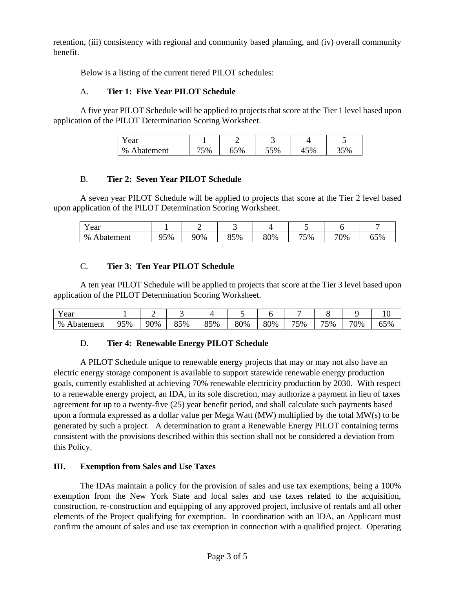retention, (iii) consistency with regional and community based planning, and (iv) overall community benefit.

Below is a listing of the current tiered PILOT schedules:

### A. **Tier 1: Five Year PILOT Schedule**

A five year PILOT Schedule will be applied to projects that score at the Tier 1 level based upon application of the PILOT Determination Scoring Worksheet.

| ear               |     |     | . . |           |     |  |
|-------------------|-----|-----|-----|-----------|-----|--|
| $\%$<br>Abatement | 75% | 55% | 55% | 5%<br>тν. | 35% |  |

# B. **Tier 2: Seven Year PILOT Schedule**

A seven year PILOT Schedule will be applied to projects that score at the Tier 2 level based upon application of the PILOT Determination Scoring Worksheet.

| ear                |     | ∽   | ~   |     |     |     | -   |
|--------------------|-----|-----|-----|-----|-----|-----|-----|
| %<br>batement<br>А | 95% | 90% | 85% | 80% | 75% | 70% | 65% |

# C. **Tier 3: Ten Year PILOT Schedule**

A ten year PILOT Schedule will be applied to projects that score at the Tier 3 level based upon application of the PILOT Determination Scoring Worksheet.

| $\mathbf{v}$<br>Y ear      |     |     |     |           |     |           |          |          |     | ΙV            |
|----------------------------|-----|-----|-----|-----------|-----|-----------|----------|----------|-----|---------------|
| 0/2<br>\batement<br>Д<br>v | 95% | 90% | 85% | 85%<br>ບຸ | 80% | 80%<br>δU | 75%<br>ັ | 75%<br>ັ | 70% | $-5\%$<br>JJ. |

# D. **Tier 4: Renewable Energy PILOT Schedule**

A PILOT Schedule unique to renewable energy projects that may or may not also have an electric energy storage component is available to support statewide renewable energy production goals, currently established at achieving 70% renewable electricity production by 2030. With respect to a renewable energy project, an IDA, in its sole discretion, may authorize a payment in lieu of taxes agreement for up to a twenty-five (25) year benefit period, and shall calculate such payments based upon a formula expressed as a dollar value per Mega Watt (MW) multiplied by the total MW(s) to be generated by such a project. A determination to grant a Renewable Energy PILOT containing terms consistent with the provisions described within this section shall not be considered a deviation from this Policy.

### **III. Exemption from Sales and Use Taxes**

The IDAs maintain a policy for the provision of sales and use tax exemptions, being a 100% exemption from the New York State and local sales and use taxes related to the acquisition, construction, re-construction and equipping of any approved project, inclusive of rentals and all other elements of the Project qualifying for exemption. In coordination with an IDA, an Applicant must confirm the amount of sales and use tax exemption in connection with a qualified project. Operating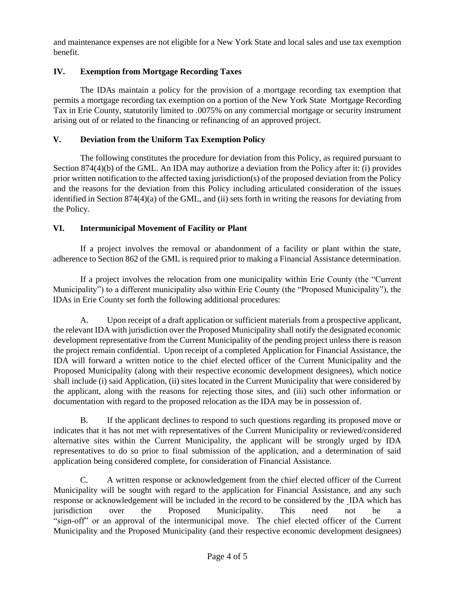and maintenance expenses are not eligible for a New York State and local sales and use tax exemption benefit.

## **IV. Exemption from Mortgage Recording Taxes**

The IDAs maintain a policy for the provision of a mortgage recording tax exemption that permits a mortgage recording tax exemption on a portion of the New York State Mortgage Recording Tax in Erie County, statutorily limited to .0075% on any commercial mortgage or security instrument arising out of or related to the financing or refinancing of an approved project.

### **V. Deviation from the Uniform Tax Exemption Policy**

The following constitutes the procedure for deviation from this Policy, as required pursuant to Section 874(4)(b) of the GML. An IDA may authorize a deviation from the Policy after it: (i) provides prior written notification to the affected taxing jurisdiction(s) of the proposed deviation from the Policy and the reasons for the deviation from this Policy including articulated consideration of the issues identified in Section 874(4)(a) of the GML, and (ii) sets forth in writing the reasons for deviating from the Policy.

### **VI. Intermunicipal Movement of Facility or Plant**

If a project involves the removal or abandonment of a facility or plant within the state, adherence to Section 862 of the GML is required prior to making a Financial Assistance determination.

If a project involves the relocation from one municipality within Erie County (the "Current Municipality") to a different municipality also within Erie County (the "Proposed Municipality"), the IDAs in Erie County set forth the following additional procedures:

A. Upon receipt of a draft application or sufficient materials from a prospective applicant, the relevant IDA with jurisdiction over the Proposed Municipality shall notify the designated economic development representative from the Current Municipality of the pending project unless there is reason the project remain confidential. Upon receipt of a completed Application for Financial Assistance, the IDA will forward a written notice to the chief elected officer of the Current Municipality and the Proposed Municipality (along with their respective economic development designees), which notice shall include (i) said Application, (ii) sites located in the Current Municipality that were considered by the applicant, along with the reasons for rejecting those sites, and (iii) such other information or documentation with regard to the proposed relocation as the IDA may be in possession of.

B. If the applicant declines to respond to such questions regarding its proposed move or indicates that it has not met with representatives of the Current Municipality or reviewed/considered alternative sites within the Current Municipality, the applicant will be strongly urged by IDA representatives to do so prior to final submission of the application, and a determination of said application being considered complete, for consideration of Financial Assistance.

C. A written response or acknowledgement from the chief elected officer of the Current Municipality will be sought with regard to the application for Financial Assistance, and any such response or acknowledgement will be included in the record to be considered by the IDA which has jurisdiction over the Proposed Municipality. This need not be a "sign-off" or an approval of the intermunicipal move. The chief elected officer of the Current Municipality and the Proposed Municipality (and their respective economic development designees)